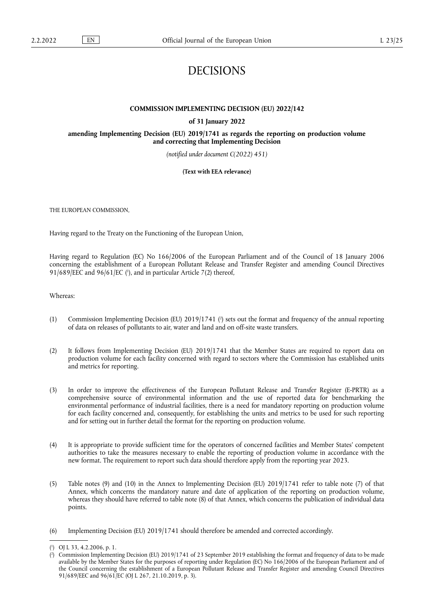# DECISIONS

#### **COMMISSION IMPLEMENTING DECISION (EU) 2022/142**

**of 31 January 2022**

**amending Implementing Decision (EU) 2019/1741 as regards the reporting on production volume and correcting that Implementing Decision** 

*(notified under document C(2022) 451)* 

**(Text with EEA relevance)** 

THE EUROPEAN COMMISSION,

Having regard to the Treaty on the Functioning of the European Union,

<span id="page-0-2"></span>Having regard to Regulation (EC) No 166/2006 of the European Parliament and of the Council of 18 January 2006 concerning the establishment of a European Pollutant Release and Transfer Register and amending Council Directives  $91/689$ /EEC and  $96/61$ /EC [\(](#page-0-0)<sup>1</sup>), and in particular Article 7(2) thereof,

Whereas:

- <span id="page-0-3"></span>(1) Commission Implementing Decision (EU) 2019/1741 [\(](#page-0-1) 2 ) sets out the format and frequency of the annual reporting of data on releases of pollutants to air, water and land and on off-site waste transfers.
- (2) It follows from Implementing Decision (EU) 2019/1741 that the Member States are required to report data on production volume for each facility concerned with regard to sectors where the Commission has established units and metrics for reporting.
- (3) In order to improve the effectiveness of the European Pollutant Release and Transfer Register (E-PRTR) as a comprehensive source of environmental information and the use of reported data for benchmarking the environmental performance of industrial facilities, there is a need for mandatory reporting on production volume for each facility concerned and, consequently, for establishing the units and metrics to be used for such reporting and for setting out in further detail the format for the reporting on production volume.
- (4) It is appropriate to provide sufficient time for the operators of concerned facilities and Member States' competent authorities to take the measures necessary to enable the reporting of production volume in accordance with the new format. The requirement to report such data should therefore apply from the reporting year 2023.
- (5) Table notes (9) and (10) in the Annex to Implementing Decision (EU) 2019/1741 refer to table note (7) of that Annex, which concerns the mandatory nature and date of application of the reporting on production volume, whereas they should have referred to table note (8) of that Annex, which concerns the publication of individual data points.
- (6) Implementing Decision (EU) 2019/1741 should therefore be amended and corrected accordingly.

<span id="page-0-0"></span>[<sup>\(</sup>](#page-0-2) 1 ) OJ L 33, 4.2.2006, p. 1.

<span id="page-0-1"></span>[<sup>\(</sup>](#page-0-3) 2 ) Commission Implementing Decision (EU) 2019/1741 of 23 September 2019 establishing the format and frequency of data to be made available by the Member States for the purposes of reporting under Regulation (EC) No 166/2006 of the European Parliament and of the Council concerning the establishment of a European Pollutant Release and Transfer Register and amending Council Directives 91/689/EEC and 96/61/EC (OJ L 267, 21.10.2019, p. 3).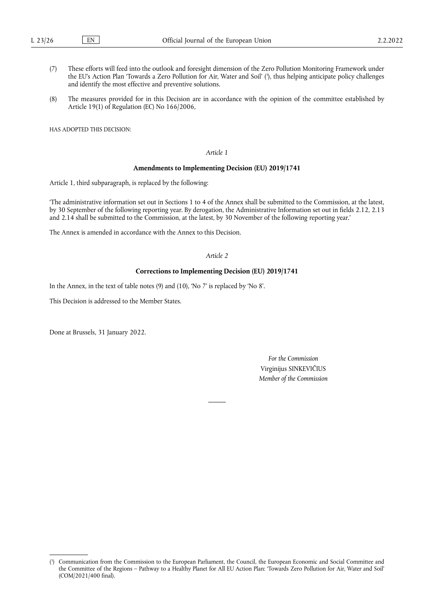- <span id="page-1-1"></span>(7) These efforts will feed into the outlook and foresight dimension of the Zero Pollution Monitoring Framework under the EU's Action Plan 'Towards a Zero Pollution for Air, Water and Soil' [\(](#page-1-0) 3 ), thus helping anticipate policy challenges and identify the most effective and preventive solutions.
- (8) The measures provided for in this Decision are in accordance with the opinion of the committee established by Article 19(1) of Regulation (EC) No 166/2006,

HAS ADOPTED THIS DECISION:

### *Article 1*

### **Amendments to Implementing Decision (EU) 2019/1741**

Article 1, third subparagraph, is replaced by the following:

'The administrative information set out in Sections 1 to 4 of the Annex shall be submitted to the Commission, at the latest, by 30 September of the following reporting year. By derogation, the Administrative Information set out in fields 2.12, 2.13 and 2.14 shall be submitted to the Commission, at the latest, by 30 November of the following reporting year.'

The Annex is amended in accordance with the Annex to this Decision.

### *Article 2*

#### **Corrections to Implementing Decision (EU) 2019/1741**

In the Annex, in the text of table notes (9) and (10), 'No 7' is replaced by 'No 8'.

This Decision is addressed to the Member States.

Done at Brussels, 31 January 2022.

*For the Commission* Virginijus SINKEVIČIUS *Member of the Commission*

<span id="page-1-0"></span>[<sup>\(</sup>](#page-1-1) 3 ) Communication from the Commission to the European Parliament, the Council, the European Economic and Social Committee and the Committee of the Regions – Pathway to a Healthy Planet for All EU Action Plan: 'Towards Zero Pollution for Air, Water and Soil' (COM/2021/400 final).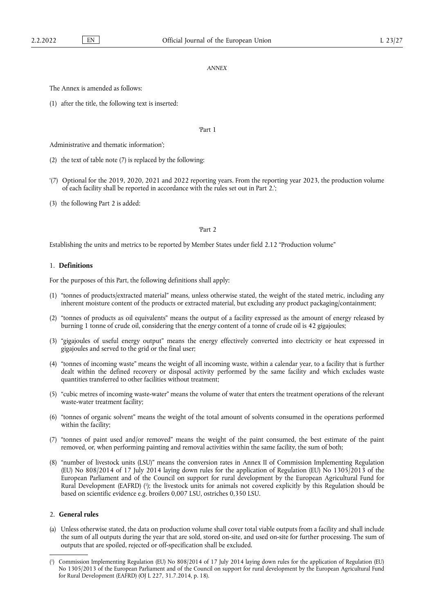#### *ANNEX*

The Annex is amended as follows:

(1) after the title, the following text is inserted:

#### 'Part 1

Administrative and thematic information';

- (2) the text of table note (7) is replaced by the following:
- '(7) Optional for the 2019, 2020, 2021 and 2022 reporting years. From the reporting year 2023, the production volume of each facility shall be reported in accordance with the rules set out in Part 2.';
- (3) the following Part 2 is added:

#### 'Part 2

Establishing the units and metrics to be reported by Member States under field 2.12 "Production volume"

#### 1. **Definitions**

For the purposes of this Part, the following definitions shall apply:

- (1) "tonnes of products/extracted material" means, unless otherwise stated, the weight of the stated metric, including any inherent moisture content of the products or extracted material, but excluding any product packaging/containment;
- (2) "tonnes of products as oil equivalents" means the output of a facility expressed as the amount of energy released by burning 1 tonne of crude oil, considering that the energy content of a tonne of crude oil is 42 gigajoules;
- (3) "gigajoules of useful energy output" means the energy effectively converted into electricity or heat expressed in gigajoules and served to the grid or the final user;
- (4) "tonnes of incoming waste" means the weight of all incoming waste, within a calendar year, to a facility that is further dealt within the defined recovery or disposal activity performed by the same facility and which excludes waste quantities transferred to other facilities without treatment;
- (5) "cubic metres of incoming waste-water" means the volume of water that enters the treatment operations of the relevant waste-water treatment facility;
- (6) "tonnes of organic solvent" means the weight of the total amount of solvents consumed in the operations performed within the facility;
- (7) "tonnes of paint used and/or removed" means the weight of the paint consumed, the best estimate of the paint removed, or, when performing painting and removal activities within the same facility, the sum of both;
- <span id="page-2-1"></span>(8) "number of livestock units (LSU)" means the conversion rates in Annex II of Commission Implementing Regulation (EU) No 808/2014 of 17 July 2014 laying down rules for the application of Regulation (EU) No 1305/2013 of the European Parliament and of the Council on support for rural development by the European Agricultural Fund for Rural Development (EAFRD) [\(](#page-2-0) 1 ); the livestock units for animals not covered explicitly by this Regulation should be based on scientific evidence e.g. broilers 0,007 LSU, ostriches 0,350 LSU.

### 2. **General rules**

(a) Unless otherwise stated, the data on production volume shall cover total viable outputs from a facility and shall include the sum of all outputs during the year that are sold, stored on-site, and used on-site for further processing. The sum of outputs that are spoiled, rejected or off-specification shall be excluded.

<span id="page-2-0"></span>[<sup>\(</sup>](#page-2-1) 1 ) Commission Implementing Regulation (EU) No 808/2014 of 17 July 2014 laying down rules for the application of Regulation (EU) No 1305/2013 of the European Parliament and of the Council on support for rural development by the European Agricultural Fund for Rural Development (EAFRD) (OJ L 227, 31.7.2014, p. 18).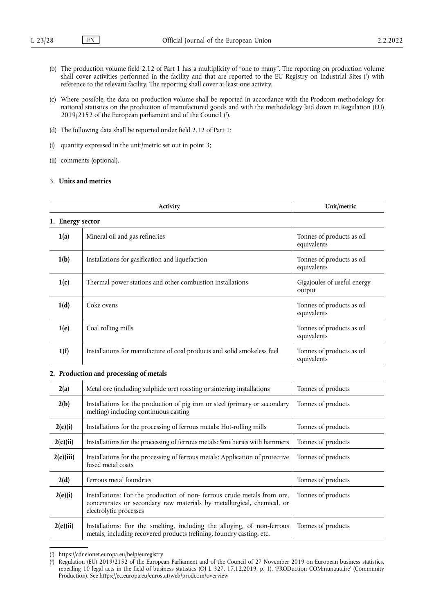- <span id="page-3-2"></span>(b) The production volume field 2.12 of Part 1 has a multiplicity of "one to many". The reporting on production volume shall cover activities performed in the facility and that are reported to the EU Registry on Industrial Sites [\(](#page-3-0) 2 ) with reference to the relevant facility. The reporting shall cover at least one activity.
- <span id="page-3-3"></span>(c) Where possible, the data on production volume shall be reported in accordance with the Prodcom methodology for national statistics on the production of manufactured goods and with the methodology laid down in Regulation (EU)  $2019/2152$  of the European parliament and of the Council  $(3)$ .
- (d) The following data shall be reported under field 2.12 of Part 1:
- (i) quantity expressed in the unit/metric set out in point 3;
- (ii) comments (optional).

### 3. **Units and metrics**

|                  | Activity                                                                                                                                                                    | Unit/metric                              |
|------------------|-----------------------------------------------------------------------------------------------------------------------------------------------------------------------------|------------------------------------------|
| 1. Energy sector |                                                                                                                                                                             |                                          |
| 1(a)             | Mineral oil and gas refineries                                                                                                                                              | Tonnes of products as oil<br>equivalents |
| 1(b)             | Installations for gasification and liquefaction                                                                                                                             | Tonnes of products as oil<br>equivalents |
| 1(c)             | Thermal power stations and other combustion installations                                                                                                                   | Gigajoules of useful energy<br>output    |
| 1(d)             | Coke ovens                                                                                                                                                                  | Tonnes of products as oil<br>equivalents |
| 1(e)             | Coal rolling mills                                                                                                                                                          | Tonnes of products as oil<br>equivalents |
| 1(f)             | Installations for manufacture of coal products and solid smokeless fuel                                                                                                     | Tonnes of products as oil<br>equivalents |
|                  | 2. Production and processing of metals                                                                                                                                      |                                          |
| 2(a)             | Metal ore (including sulphide ore) roasting or sintering installations                                                                                                      | Tonnes of products                       |
| 2(b)             | Installations for the production of pig iron or steel (primary or secondary<br>melting) including continuous casting                                                        | Tonnes of products                       |
| 2(c)(i)          | Installations for the processing of ferrous metals: Hot-rolling mills                                                                                                       | Tonnes of products                       |
| 2(c)(ii)         | Installations for the processing of ferrous metals: Smitheries with hammers                                                                                                 | Tonnes of products                       |
| 2(c)(iii)        | Installations for the processing of ferrous metals: Application of protective<br>fused metal coats                                                                          | Tonnes of products                       |
| 2(d)             | Ferrous metal foundries                                                                                                                                                     | Tonnes of products                       |
| 2(e)(i)          | Installations: For the production of non-ferrous crude metals from ore,<br>concentrates or secondary raw materials by metallurgical, chemical, or<br>electrolytic processes | Tonnes of products                       |
| 2(e)(ii)         | Installations: For the smelting, including the alloying, of non-ferrous<br>metals, including recovered products (refining, foundry casting, etc.                            | Tonnes of products                       |

<span id="page-3-0"></span>[<sup>\(</sup>](#page-3-2) 2 ) <https://cdr.eionet.europa.eu/help/euregistry>

<span id="page-3-1"></span>[<sup>\(</sup>](#page-3-3) 3 ) Regulation (EU) 2019/2152 of the European Parliament and of the Council of 27 November 2019 on European business statistics, repealing 10 legal acts in the field of business statistics (OJ L 327, 17.12.2019, p. 1). 'PRODuction COMmunautaire' (Community Production). See <https://ec.europa.eu/eurostat/web/prodcom/overview>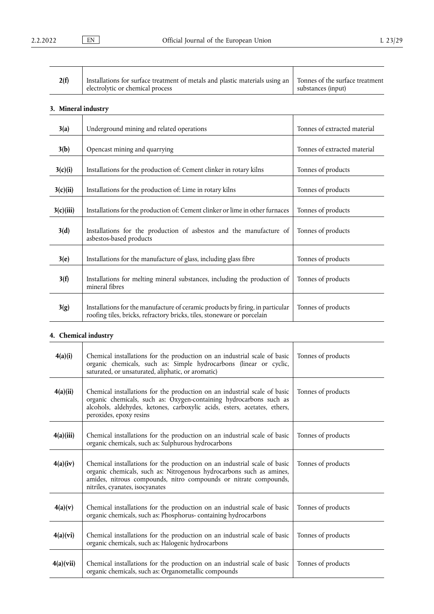| 2(f) | Installations for surface treatment of metals and plastic materials using an   Tonnes of the surface treatment<br>electrolytic or chemical process | substances (input) |
|------|----------------------------------------------------------------------------------------------------------------------------------------------------|--------------------|
|------|----------------------------------------------------------------------------------------------------------------------------------------------------|--------------------|

# **3. Mineral industry**

| 3(a)      | Underground mining and related operations                                                                                                                 | Tonnes of extracted material |
|-----------|-----------------------------------------------------------------------------------------------------------------------------------------------------------|------------------------------|
| 3(b)      | Opencast mining and quarrying                                                                                                                             | Tonnes of extracted material |
| 3(c)(i)   | Installations for the production of: Cement clinker in rotary kilns                                                                                       | Tonnes of products           |
| 3(c)(ii)  | Installations for the production of: Lime in rotary kilns                                                                                                 | Tonnes of products           |
| 3(c)(iii) | Installations for the production of: Cement clinker or lime in other furnaces                                                                             | Tonnes of products           |
| 3(d)      | Installations for the production of asbestos and the manufacture of<br>asbestos-based products                                                            | Tonnes of products           |
| 3(e)      | Installations for the manufacture of glass, including glass fibre                                                                                         | Tonnes of products           |
| 3(f)      | Installations for melting mineral substances, including the production of<br>mineral fibres                                                               | Tonnes of products           |
| 3(g)      | Installations for the manufacture of ceramic products by firing, in particular<br>roofing tiles, bricks, refractory bricks, tiles, stoneware or porcelain | Tonnes of products           |

# **4. Chemical industry**

| 4(a)(i)   | Chemical installations for the production on an industrial scale of basic<br>organic chemicals, such as: Simple hydrocarbons (linear or cyclic,<br>saturated, or unsaturated, aliphatic, or aromatic)                                                    | Tonnes of products |
|-----------|----------------------------------------------------------------------------------------------------------------------------------------------------------------------------------------------------------------------------------------------------------|--------------------|
| 4(a)(ii)  | Chemical installations for the production on an industrial scale of basic<br>organic chemicals, such as: Oxygen-containing hydrocarbons such as<br>alcohols, aldehydes, ketones, carboxylic acids, esters, acetates, ethers,<br>peroxides, epoxy resins  | Tonnes of products |
| 4(a)(iii) | Chemical installations for the production on an industrial scale of basic<br>organic chemicals, such as: Sulphurous hydrocarbons                                                                                                                         | Tonnes of products |
| 4(a)(iv)  | Chemical installations for the production on an industrial scale of basic<br>organic chemicals, such as: Nitrogenous hydrocarbons such as amines,<br>amides, nitrous compounds, nitro compounds or nitrate compounds,<br>nitriles, cyanates, isocyanates | Tonnes of products |
| 4(a)(v)   | Chemical installations for the production on an industrial scale of basic<br>organic chemicals, such as: Phosphorus-containing hydrocarbons                                                                                                              | Tonnes of products |
| 4(a)(vi)  | Chemical installations for the production on an industrial scale of basic<br>organic chemicals, such as: Halogenic hydrocarbons                                                                                                                          | Tonnes of products |
| 4(a)(vii) | Chemical installations for the production on an industrial scale of basic<br>organic chemicals, such as: Organometallic compounds                                                                                                                        | Tonnes of products |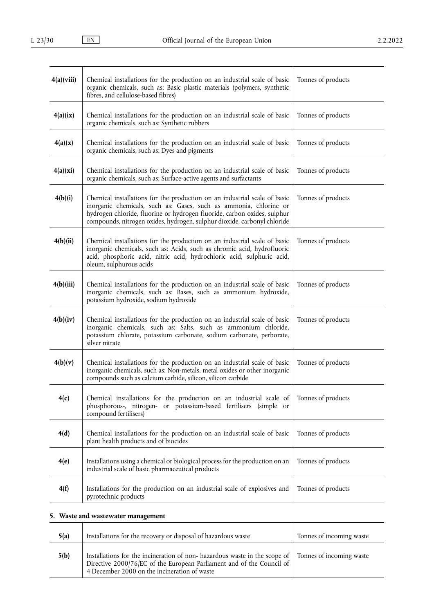| 4(a)(viii) | Chemical installations for the production on an industrial scale of basic<br>organic chemicals, such as: Basic plastic materials (polymers, synthetic<br>fibres, and cellulose-based fibres)                                                                                                           | Tonnes of products |
|------------|--------------------------------------------------------------------------------------------------------------------------------------------------------------------------------------------------------------------------------------------------------------------------------------------------------|--------------------|
| 4(a)(ix)   | Chemical installations for the production on an industrial scale of basic<br>organic chemicals, such as: Synthetic rubbers                                                                                                                                                                             | Tonnes of products |
| 4(a)(x)    | Chemical installations for the production on an industrial scale of basic<br>organic chemicals, such as: Dyes and pigments                                                                                                                                                                             | Tonnes of products |
| 4(a)(xi)   | Chemical installations for the production on an industrial scale of basic<br>organic chemicals, such as: Surface-active agents and surfactants                                                                                                                                                         | Tonnes of products |
| 4(b)(i)    | Chemical installations for the production on an industrial scale of basic<br>inorganic chemicals, such as: Gases, such as ammonia, chlorine or<br>hydrogen chloride, fluorine or hydrogen fluoride, carbon oxides, sulphur<br>compounds, nitrogen oxides, hydrogen, sulphur dioxide, carbonyl chloride | Tonnes of products |
| 4(b)(ii)   | Chemical installations for the production on an industrial scale of basic<br>inorganic chemicals, such as: Acids, such as chromic acid, hydrofluoric<br>acid, phosphoric acid, nitric acid, hydrochloric acid, sulphuric acid,<br>oleum, sulphurous acids                                              | Tonnes of products |
| 4(b)(iii)  | Chemical installations for the production on an industrial scale of basic<br>inorganic chemicals, such as: Bases, such as ammonium hydroxide,<br>potassium hydroxide, sodium hydroxide                                                                                                                 | Tonnes of products |
| 4(b)(iv)   | Chemical installations for the production on an industrial scale of basic<br>inorganic chemicals, such as: Salts, such as ammonium chloride,<br>potassium chlorate, potassium carbonate, sodium carbonate, perborate,<br>silver nitrate                                                                | Tonnes of products |
| 4(b)(v)    | Chemical installations for the production on an industrial scale of basic<br>inorganic chemicals, such as: Non-metals, metal oxides or other inorganic<br>compounds such as calcium carbide, silicon, silicon carbide                                                                                  | Tonnes of products |
| 4(c)       | Chemical installations for the production on an industrial scale of<br>phosphorous-, nitrogen- or potassium-based fertilisers (simple or<br>compound fertilisers)                                                                                                                                      | Tonnes of products |
| 4(d)       | Chemical installations for the production on an industrial scale of basic<br>plant health products and of biocides                                                                                                                                                                                     | Tonnes of products |
| 4(e)       | Installations using a chemical or biological process for the production on an<br>industrial scale of basic pharmaceutical products                                                                                                                                                                     | Tonnes of products |
| 4(f)       | Installations for the production on an industrial scale of explosives and<br>pyrotechnic products                                                                                                                                                                                                      | Tonnes of products |

# **5. Waste and wastewater management**

| 5(a) | Installations for the recovery or disposal of hazardous waste                                                                                                                                                               | Tonnes of incoming waste |
|------|-----------------------------------------------------------------------------------------------------------------------------------------------------------------------------------------------------------------------------|--------------------------|
| 5(b) | Installations for the incineration of non-hazardous waste in the scope of Tonnes of incoming waste<br>Directive 2000/76/EC of the European Parliament and of the Council of<br>4 December 2000 on the incineration of waste |                          |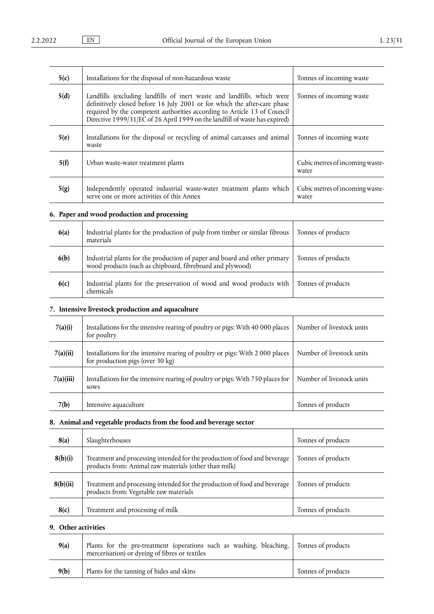l,

| 5(c) | Installations for the disposal of non-hazardous waste                                                                                                                                                                                                                                                           | Tonnes of incoming waste                 |
|------|-----------------------------------------------------------------------------------------------------------------------------------------------------------------------------------------------------------------------------------------------------------------------------------------------------------------|------------------------------------------|
| 5(d) | Landfills (excluding landfills of inert waste and landfills, which were<br>definitively closed before 16 July 2001 or for which the after-care phase<br>required by the competent authorities according to Article 13 of Council<br>Directive 1999/31/EC of 26 April 1999 on the landfill of waste has expired) | Tonnes of incoming waste                 |
| 5(e) | Installations for the disposal or recycling of animal carcasses and animal<br>waste                                                                                                                                                                                                                             | Tonnes of incoming waste                 |
| 5(f) | Urban waste-water treatment plants                                                                                                                                                                                                                                                                              | Cubic metres of incoming waste-<br>water |
| 5(g) | Independently operated industrial waste-water treatment plants which<br>serve one or more activities of this Annex                                                                                                                                                                                              | Cubic metres of incoming waste-<br>water |

# **6. Paper and wood production and processing**

| 6(a) | Industrial plants for the production of pulp from timber or similar fibrous<br>materials                                            | Tonnes of products |
|------|-------------------------------------------------------------------------------------------------------------------------------------|--------------------|
| 6(b) | Industrial plants for the production of paper and board and other primary wood products (such as chipboard, fibreboard and plywood) | Tonnes of products |
| 6(c) | Industrial plants for the preservation of wood and wood products with<br>chemicals                                                  | Tonnes of products |

# **7. Intensive livestock production and aquaculture**

| 7(a)(i)   | Installations for the intensive rearing of poultry or pigs: With 40 000 places<br>for poultry                    | Number of livestock units |
|-----------|------------------------------------------------------------------------------------------------------------------|---------------------------|
| 7(a)(ii)  | Installations for the intensive rearing of poultry or pigs: With 2000 places<br>for production pigs (over 30 kg) | Number of livestock units |
| 7(a)(iii) | Installations for the intensive rearing of poultry or pigs: With 750 places for<br>sows                          | Number of livestock units |
| 7(b)      | Intensive aquaculture                                                                                            | Tonnes of products        |

# **8. Animal and vegetable products from the food and beverage sector**

| 8(a)     | Slaughterhouses                                                                                                                    | Tonnes of products |
|----------|------------------------------------------------------------------------------------------------------------------------------------|--------------------|
| 8(b)(i)  | Treatment and processing intended for the production of food and beverage<br>products from: Animal raw materials (other than milk) | Tonnes of products |
| 8(b)(ii) | Treatment and processing intended for the production of food and beverage<br>products from: Vegetable raw materials                | Tonnes of products |
| 8(c)     | Treatment and processing of milk                                                                                                   | Tonnes of products |

## **9. Other activities**

| 9(a) | Plants for the pre-treatment (operations such as washing, bleaching, Tonnes of products<br>mercerisation) or dyeing of fibres or textiles |                    |
|------|-------------------------------------------------------------------------------------------------------------------------------------------|--------------------|
| 9(b) | Plants for the tanning of hides and skins                                                                                                 | Tonnes of products |